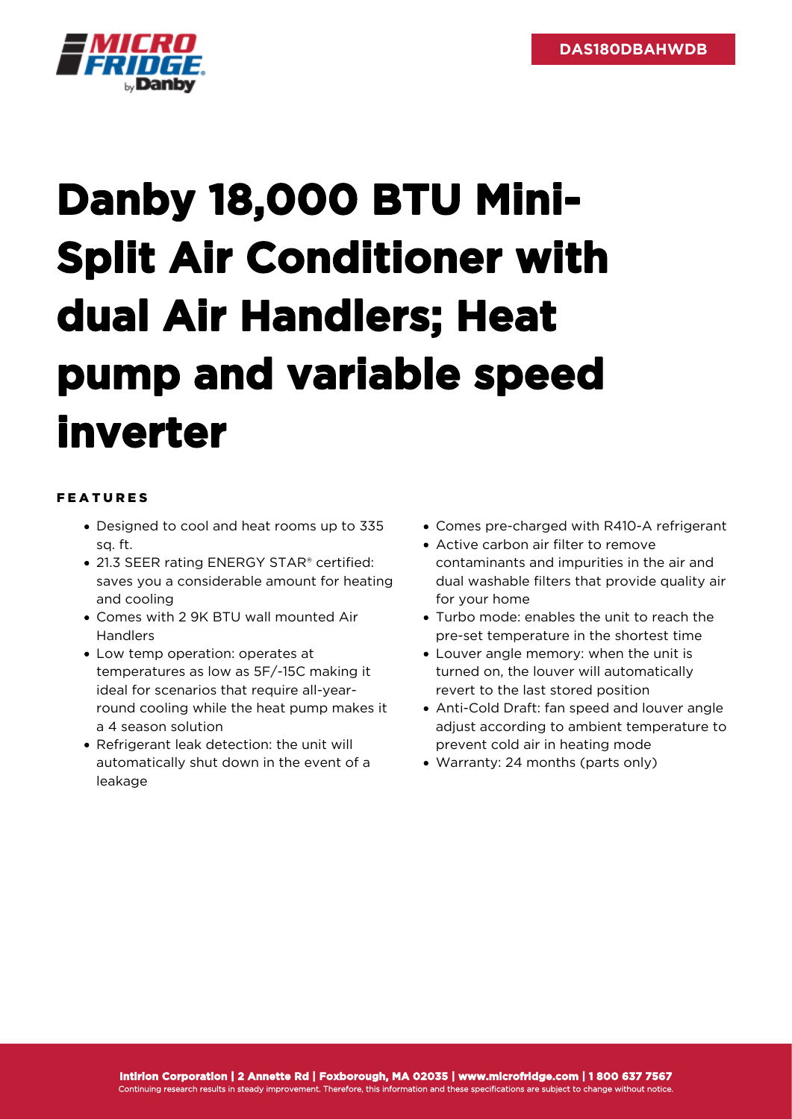

## **Danby 18,000 BTU Mini-Split Air Conditioner with dual Air Handlers; Heat pump and variable speed inverter**

## FEATURES

- Designed to cool and heat rooms up to 335 sq. ft.
- 21.3 SEER rating ENERGY STAR® certified: saves you a considerable amount for heating and cooling
- Comes with 2 9K BTU wall mounted Air Handlers
- Low temp operation: operates at temperatures as low as 5F/-15C making it ideal for scenarios that require all-yearround cooling while the heat pump makes it a 4 season solution
- Refrigerant leak detection: the unit will automatically shut down in the event of a leakage
- Comes pre-charged with R410-A refrigerant
- Active carbon air filter to remove contaminants and impurities in the air and dual washable filters that provide quality air for your home
- Turbo mode: enables the unit to reach the pre-set temperature in the shortest time
- Louver angle memory: when the unit is turned on, the louver will automatically revert to the last stored position
- Anti-Cold Draft: fan speed and louver angle adjust according to ambient temperature to prevent cold air in heating mode
- Warranty: 24 months (parts only)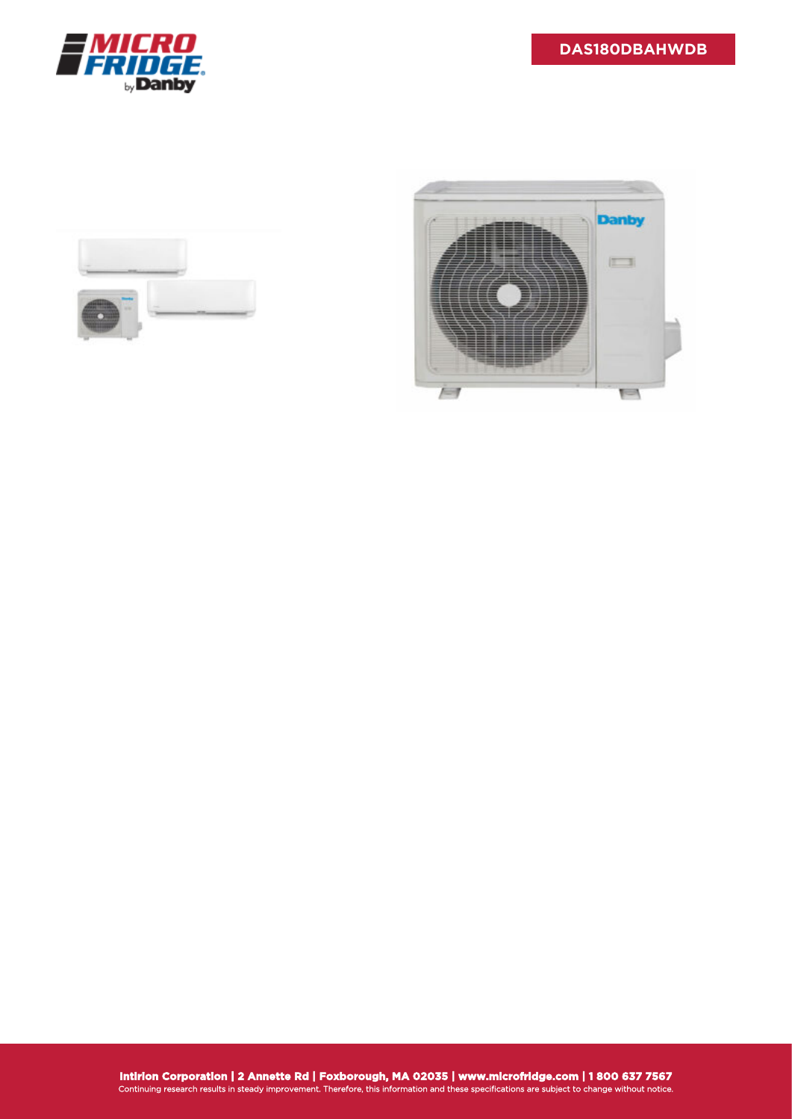